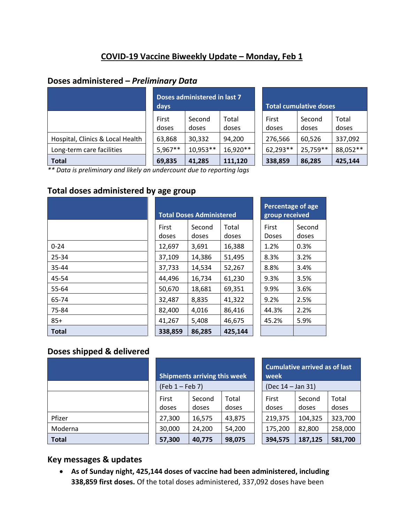# **COVID-19 Vaccine Biweekly Update – Monday, Feb 1**

#### **Doses administered –** *Preliminary Data*

|                                  | Doses administered in last 7<br>days |                 |                |  | <b>Total cumulative doses</b> |                 |                |  |  |
|----------------------------------|--------------------------------------|-----------------|----------------|--|-------------------------------|-----------------|----------------|--|--|
|                                  | First<br>doses                       | Second<br>doses | Total<br>doses |  | First<br>doses                | Second<br>doses | Total<br>doses |  |  |
| Hospital, Clinics & Local Health | 63,868                               | 30,332          | 94,200         |  | 276,566                       | 60,526          | 337,092        |  |  |
| Long-term care facilities        | $5,967**$                            | 10,953**        | 16,920**       |  | 62,293**                      | 25,759**        | 88,052 **      |  |  |
| <b>Total</b>                     | 69,835                               | 41,285          | 111,120        |  | 338,859                       | 86,285          | 425,144        |  |  |

| <b>Total cumulative doses</b> |                 |                |  |  |  |  |  |
|-------------------------------|-----------------|----------------|--|--|--|--|--|
| First<br>doses                | Second<br>doses | Total<br>doses |  |  |  |  |  |
| 276,566                       | 60,526          | 337,092        |  |  |  |  |  |
| 62,293**                      | 25,759 **       | 88,052 **      |  |  |  |  |  |
| 338,859                       | 86,285          | 425,144        |  |  |  |  |  |

*\*\* Data is preliminary and likely an undercount due to reporting lags* 

## **Total doses administered by age group**

|              |                       | <b>Total Doses Administered</b> | Percentage of a<br>group received |                       |              |
|--------------|-----------------------|---------------------------------|-----------------------------------|-----------------------|--------------|
|              | <b>First</b><br>doses | Second<br>doses                 | Total<br>doses                    | First<br><b>Doses</b> | Seco<br>dose |
| $0 - 24$     | 12,697                | 3,691                           | 16,388                            | 1.2%                  | 0.3%         |
| 25-34        | 37,109                | 14,386                          | 51,495                            | 8.3%                  | 3.2%         |
| 35-44        | 37,733                | 14,534                          | 52,267                            | 8.8%                  | 3.4%         |
| 45-54        | 44,496                | 16,734                          | 61,230                            | 9.3%                  | 3.5%         |
| 55-64        | 50,670                | 18,681                          | 69,351                            | 9.9%                  | 3.6%         |
| 65-74        | 32,487                | 8,835                           | 41,322                            | 9.2%                  | 2.5%         |
| 75-84        | 82,400                | 4,016                           | 86,416                            | 44.3%                 | 2.2%         |
| $85+$        | 41,267                | 5,408                           | 46,675                            | 45.2%                 | 5.9%         |
| <b>Total</b> | 338,859               | 86,285                          | 425,144                           |                       |              |

| <b>Total Doses Administered</b> |        |         |  |  |  |  |
|---------------------------------|--------|---------|--|--|--|--|
| First                           | Second | Total   |  |  |  |  |
| doses                           | doses  | doses   |  |  |  |  |
| 12,697                          | 3,691  | 16,388  |  |  |  |  |
| 37,109                          | 14,386 | 51,495  |  |  |  |  |
| 37,733                          | 14,534 | 52,267  |  |  |  |  |
| 44,496                          | 16,734 | 61,230  |  |  |  |  |
| 50,670                          | 18,681 | 69,351  |  |  |  |  |
| 32,487                          | 8,835  | 41,322  |  |  |  |  |
| 82,400                          | 4,016  | 86,416  |  |  |  |  |
| 41,267                          | 5.408  | 46,675  |  |  |  |  |
| 338,859                         | 86,285 | 425,144 |  |  |  |  |

| <b>Percentage of age</b><br>group received |                 |  |  |  |  |
|--------------------------------------------|-----------------|--|--|--|--|
| First<br>Doses                             | Second<br>doses |  |  |  |  |
| 1.2%                                       | 0.3%            |  |  |  |  |
| 8.3%                                       | 3.2%            |  |  |  |  |
| 8.8%                                       | 3.4%            |  |  |  |  |
| 9.3%                                       | 3.5%            |  |  |  |  |
| 9.9%                                       | 3.6%            |  |  |  |  |
| 9.2%                                       | 2.5%            |  |  |  |  |
| 44.3%                                      | 2.2%            |  |  |  |  |
| 45.2%                                      | 5.9%            |  |  |  |  |
|                                            |                 |  |  |  |  |

### **Doses shipped & delivered**

| Pfizer       |  |
|--------------|--|
| Moderna      |  |
| <b>Total</b> |  |

|         |                | <b>Shipments arriving this week</b> |                |  | <b>Cumulative arrived as of last</b><br>week |                   |                |  |  |
|---------|----------------|-------------------------------------|----------------|--|----------------------------------------------|-------------------|----------------|--|--|
|         |                | $(Feb 1 - Feb 7)$                   |                |  |                                              | (Dec 14 - Jan 31) |                |  |  |
|         | First<br>doses | Second<br>doses                     | Total<br>doses |  | First<br>doses                               | Second<br>doses   | Total<br>doses |  |  |
| Pfizer  | 27,300         | 16,575                              | 43,875         |  | 219,375                                      | 104,325           | 323,700        |  |  |
| Moderna | 30,000         | 24,200                              | 54,200         |  | 175,200                                      | 82,800            | 258,000        |  |  |
| Total   | 57,300         | 40,775                              | 98,075         |  | 394,575                                      | 187,125           | 581,700        |  |  |

| <b>Cumulative arrived as of last</b><br>week |                 |                |  |  |  |  |
|----------------------------------------------|-----------------|----------------|--|--|--|--|
| (Dec 14 - Jan 31)                            |                 |                |  |  |  |  |
| First<br>doses                               | Second<br>doses | Total<br>doses |  |  |  |  |
| 219,375                                      | 104,325         | 323,700        |  |  |  |  |
| 175,200                                      | 82,800          | 258,000        |  |  |  |  |
| 187,125<br>394,575<br>581,700                |                 |                |  |  |  |  |

### **Key messages & updates**

• **As of Sunday night, 425,144 doses of vaccine had been administered, including 338,859 first doses.** Of the total doses administered, 337,092 doses have been